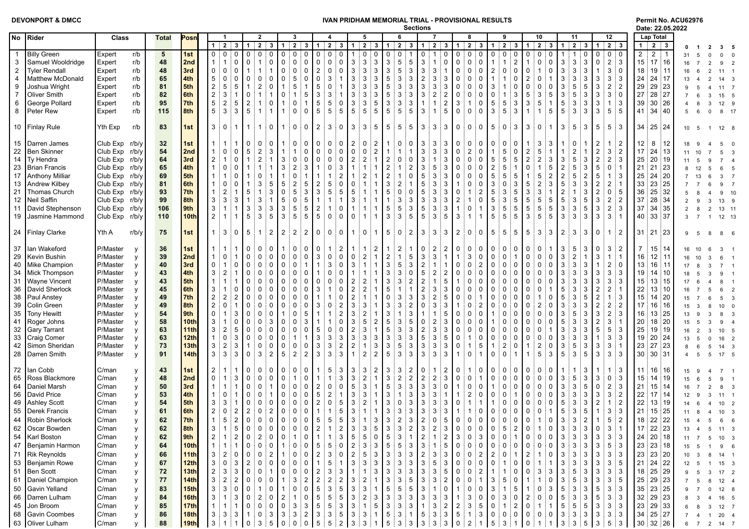|  |  | <b>DEVONPORT &amp; DMCC</b> |  |  |  |
|--|--|-----------------------------|--|--|--|
|--|--|-----------------------------|--|--|--|

## **DEVAN PRIDHAM MEMORIAL TRIAL - PROVISIONAL RESULTS Permit No. ACU62976**<br>Sections **Partions Partions Partions**

**Sections Date: 22.05.2022**

|                |                        |                |                        |             |                         |                                                                   |                                     |                                  |                                   |                                   |                   |                                                                                     |                                                                                                               |                                   |                   | ucululla                          |                                  |                |                                     |                                                                                                                                                                                                                                                      |                   |                                    |                     |                                      |                   |                               |                |                 | Dale. 22.05.2022              |             |                 |                 |
|----------------|------------------------|----------------|------------------------|-------------|-------------------------|-------------------------------------------------------------------|-------------------------------------|----------------------------------|-----------------------------------|-----------------------------------|-------------------|-------------------------------------------------------------------------------------|---------------------------------------------------------------------------------------------------------------|-----------------------------------|-------------------|-----------------------------------|----------------------------------|----------------|-------------------------------------|------------------------------------------------------------------------------------------------------------------------------------------------------------------------------------------------------------------------------------------------------|-------------------|------------------------------------|---------------------|--------------------------------------|-------------------|-------------------------------|----------------|-----------------|-------------------------------|-------------|-----------------|-----------------|
|                | No Rider               | Class          | <b>Total</b>           | Posn        |                         |                                                                   | $\mathbf{2}$                        |                                  | 3                                 |                                   |                   | 5                                                                                   |                                                                                                               | 6                                 |                   |                                   |                                  |                | 8                                   | 9                                                                                                                                                                                                                                                    |                   | 10                                 |                     | 11                                   |                   | 12                            |                |                 | Lap Total                     |             |                 |                 |
|                |                        |                |                        |             |                         | $1 \quad 2 \quad$<br>3 <sup>1</sup>                               | 112                                 |                                  | $3 \mid 1 \mid 2 \mid 3 \mid 1$   |                                   | $2 \mid 3 \mid 1$ |                                                                                     | 2 3 1 2 3                                                                                                     |                                   |                   |                                   |                                  |                |                                     | 1 2 3 1 2 3 1 2 3 1                                                                                                                                                                                                                                  |                   |                                    |                     | $2 \mid 3 \mid 1 \mid 2 \mid 3 \mid$ |                   | $1 \mid 2 \mid 3$             |                |                 | $1 \mid 2 \mid 3$             |             |                 |                 |
| $\mathbf{1}$   | <b>Billy Green</b>     | Expert         | $5\phantom{.0}$<br>r/b | 1st         |                         | $\mathbf 0$<br>$\Omega$                                           | $\mathbf 0$<br>$\Omega$             | $\Omega$                         | $\mathbf 0$<br>$\Omega$           | $\mathbf 0$<br>$\mathbf 0$        |                   |                                                                                     | $\mathbf 0$                                                                                                   | $\mathbf 0$                       |                   | $\mathbf{0}$<br>$\overline{1}$    | $\mathsf 0$                      | $\mathbf{0}$   | $\mathbf 0$<br>$\mathbf 0$          | $\mathbf 0$<br>$\mathbf 0$                                                                                                                                                                                                                           | $\Omega$          | $\mathbf 0$<br>$\mathbf 0$         | $\mathbf{0}$        |                                      | $\mathbf 0$       | $\mathbf 0$                   | 0:0            | $\overline{2}$  | $2^{\circ}$<br>$\overline{1}$ | 31          |                 |                 |
| 3              | Samuel Wooldridge      | Expert         | 48<br>r/b              | 2nd         | $\overline{1}$          | $\mathsf 0$<br>$\mathbf{1}$                                       | $\mathbf{1}$<br>$\Omega$            | $\mathsf 0$<br>$\mathbf 0$       | $\mathsf 0$<br>$\Omega$           | $\mathsf 0$<br>0                  | $\mathbf 0$       | $\mathbf{3}$<br>$\mathbf{3}$                                                        | 3                                                                                                             | $\mathbf{3}$<br>$5\overline{)}$   | 5                 | $\mathbf{3}$<br>$\mathbf{1}$      | $\mathsf 0$                      | $\mathbf 0$    | $\mathsf{O}$<br>$\mathbf 0$         | $\mathbf{1}$<br>$\mathbf{1}$                                                                                                                                                                                                                         | $\overline{2}$    | $\mathbf 0$<br>$\mathbf{1}$        | $\mathbf 0$         | $\mathbf{3}$<br>3                    | 3                 | 0                             | $2 \mid 3$     | 15              | $17$ 16                       | 16          |                 |                 |
| 2              | <b>Tyler Rendall</b>   | Expert         | 48<br>r/b              | 3rd         | 0                       | $\mathsf 0$<br>$\mathbf 0$                                        | $\overline{1}$                      | $\overline{1}$<br>$\mathbf 0$    | $\mathsf 0$<br>$\Omega$           | $\overline{2}$<br>$\mathbf 0$     | $\mathbf{0}$      | $\mathsf 3$<br>$\mathbf{3}$                                                         | 3                                                                                                             | $\sqrt{3}$<br>5                   | 3                 | $\mathbf{3}$                      | $\mathbf{3}$<br>$\mathbf{1}$     | $\mathbf 0$    | $\mathbf 0$<br>$\overline{0}$       | $\mathbf 0$<br>$\overline{2}$                                                                                                                                                                                                                        | $\Omega$          | 0<br>$\overline{1}$                | $\mathbf 0$         | $\mathbf{3}$<br>3                    | 3                 | $\overline{1}$                | $3 \nmid 0$    | 18              | 19:11                         |             |                 | $11 \quad 1$    |
| $\overline{4}$ | Matthew McDonald       | Expert         | 65<br>r/b              | 4th         | $5\phantom{.0}$         | $\mathsf 0$<br>$\mathbf 0$                                        | $\Omega$<br>0                       | $\mathbf 0$<br>$\Omega$          | 5<br>$\Omega$                     | 3<br>0                            |                   | $\mathbf{3}$<br>3                                                                   | 3                                                                                                             | $\sqrt{5}$<br>3                   | 3                 | $\overline{2}$                    | 3<br>3                           | $\Omega$       | $\mathbf 0$<br>$\mathbf 0$          | $\mathbf{1}$<br>$\mathbf{1}$                                                                                                                                                                                                                         | $\Omega$          | $\overline{2}$<br>$\Omega$         | $\mathbf{1}$        | $\mathbf{3}$<br>3                    | 3                 | 3                             | $3 \mid 3$     | 24              | 24 17                         |             |                 | $14 \quad 3$    |
| 9              | Joshua Wright          | Expert         | 81<br>r/b              | 5th         | $\overline{\mathbf{c}}$ | 5<br>5                                                            | $\overline{2}$                      | $\Omega$                         | 5<br>-1                           | 5<br>0                            |                   | 3<br>3                                                                              | 3                                                                                                             | $\sqrt{5}$<br>3                   | 3                 | $\mathbf{3}$<br>$\mathbf{3}$      | 3                                | $\mathbf{0}$   | $\mathbf 0$<br>0                    | 3                                                                                                                                                                                                                                                    | n                 | $\mathbf 0$<br>$\Omega$            | $\Omega$            | 3<br>5                               | 5                 | 3                             | $2 \nmid 2$    | 29              | 29 23                         |             |                 | $11 \quad 7$    |
| $\overline{7}$ | <b>Oliver Smith</b>    | Expert         | 82<br>r/b              | 6th         | $\overline{2}$          | 3                                                                 | $\Omega$<br>$\mathbf{1}$            | $\overline{1}$<br>$\Omega$       | 5                                 | 3<br>3                            |                   | 3<br>3                                                                              | 3                                                                                                             | $\sqrt{5}$<br>3                   | 3                 | $\mathbf{3}$                      | $\overline{2}$<br>$\overline{c}$ | $\Omega$       | $\Omega$<br>$\mathbf 0$             | $\Omega$<br>$\mathbf{1}$                                                                                                                                                                                                                             | 3                 | $5\phantom{.0}$<br>3               | $5\overline{)}$     | 3<br>5                               | 3                 | 3                             | $3 \mid 0$     | 27              | 28 27                         |             |                 | 15 5            |
| 6              | George Pollard         | Expert         | 95<br>r/b              | 7th         | 5                       | 2<br>5                                                            |                                     | 0                                | $\Omega$                          | 5<br>5                            | $\mathbf 0$       | 3<br>3                                                                              | 5                                                                                                             | $\mathbf{3}$<br>3                 | 3                 | $\mathbf{1}$<br>$\overline{1}$    | $\overline{2}$                   | 3              | 0                                   | 5<br>5                                                                                                                                                                                                                                               | -3                | $\mathbf{3}$<br>5                  | $\mathbf{1}$        | $\,$ 5 $\,$<br>3                     | 3                 | 3                             | $1 \mid 3$     | 39              | 30 26                         |             |                 | 12 9            |
| 8              | Peter Rew              | Expert         | 115<br>r/b             | 8th         | 5                       | 3<br>3                                                            | 5<br>$\mathbf{1}$                   | $\overline{1}$                   | $\mathbf 0$<br>$\Omega$           | 5<br>5                            | $5\overline{5}$   | $5\phantom{.0}$<br>5                                                                | 5                                                                                                             | $5\overline{)}$<br>5 <sup>1</sup> | 5                 | $\mathbf{3}$<br>$\overline{1}$    | 5                                | $\mathbf 0$    | $\mathbf 0$<br>$\mathbf 0$          | 5<br>3                                                                                                                                                                                                                                               | ! 3               | $\vert$ 1<br>$\mathbf{1}$          | 5 <sub>5</sub>      | $5\phantom{.0}$<br>$\mathbf{3}$      | 3                 | 3 <sup>3</sup>                | 5:5            | 41              | 34 40                         | 5           | $\Omega$<br>- 6 | 8 17            |
|                |                        |                |                        |             |                         |                                                                   |                                     |                                  |                                   |                                   |                   |                                                                                     |                                                                                                               |                                   |                   |                                   |                                  |                |                                     |                                                                                                                                                                                                                                                      |                   |                                    |                     |                                      |                   |                               |                |                 |                               |             |                 |                 |
|                | 10 Finlay Rule         | Yth Exp        | 83<br>r/b              | 1st         | 3:                      | $\Omega$                                                          | i 1                                 | $\mathbf 0$                      | 0 0 2                             | 3 <sup>1</sup>                    | $\overline{0}$    | $\overline{3}$<br>$3^{\circ}$                                                       | $5^{\circ}$                                                                                                   | $5 \mid 5 \mid 5$                 |                   | 3                                 | 3 <sup>3</sup><br>$\mathbf{3}$   | l 0 i          | $\overline{0}$<br>$\overline{0}$    | 5 <sup>5</sup>                                                                                                                                                                                                                                       | $0 \mid 3 \mid 3$ | $\mathbf 0$                        | 1                   | $\mathbf{3}$<br>5                    | 3 <sup>1</sup>    | $5 \mid 5 \mid 3$             |                |                 | $34 \mid 25 \mid 24$          | 10 5        |                 | $12 \quad 8$    |
|                |                        |                |                        |             |                         |                                                                   |                                     |                                  |                                   |                                   |                   |                                                                                     |                                                                                                               |                                   |                   |                                   |                                  |                |                                     |                                                                                                                                                                                                                                                      |                   |                                    |                     |                                      |                   |                               |                |                 |                               |             |                 |                 |
|                | 15   Darren James      | Club Exp r/b/y | 32                     | 1st         |                         | $\mathbf{1}$                                                      | $\Omega$                            | $\Omega$                         | $\mathbf 0$<br>$\Omega$           | 0<br>$\Omega$                     | $\Omega$          | $\overline{2}$<br>$\Omega$                                                          | $\overline{2}$                                                                                                | $\Omega$                          | 0                 | $\mathbf{3}$                      | 3<br>3                           | $\Omega$       | $\Omega$<br>$\Omega$                | $\Omega$<br>$\mathbf 0$                                                                                                                                                                                                                              | <sup>0</sup>      | 3                                  | 3                   |                                      |                   | $\overline{2}$                | $1 \mid 2$     | 12 <sup>°</sup> | 8<br>12                       |             |                 |                 |
| 22             | Ben Skinner            | Club Exp r/b/y | 54                     | 2nd         |                         | $\Omega$<br>$\Omega$                                              | $\overline{2}$<br>5                 | 3                                | $\Omega$                          | $\Omega$<br>$\Omega$              | $\Omega$          | $\mathbf 0$<br>$\Omega$                                                             | $\overline{2}$                                                                                                |                                   | 1                 | 3<br>$\mathbf{3}$                 | 3                                | $\Omega$       | $\overline{2}$<br>$\mathbf 0$       | 5                                                                                                                                                                                                                                                    | $\Omega$          | $\overline{2}$<br>5                |                     |                                      |                   | $\overline{c}$                | $3 \mid 2$     | 17              | 24 13                         |             |                 |                 |
| 14             | Ty Hendra              | Club Exp r/b/y | 64                     | 3rd         | $\overline{2}$          | $\Omega$                                                          | $\overline{2}$                      |                                  | $\Omega$<br>$\Omega$              | $\Omega$<br>$\Omega$              | 0                 | $\overline{2}$<br>$\overline{2}$                                                    | $\mathbf{1}$                                                                                                  | $\overline{2}$<br>$\mathbf 0$     | $\Omega$          | 3<br>$\mathbf{1}$                 | 3                                | $\Omega$       | $\Omega$<br>$\Omega$                | $\sqrt{5}$<br>5                                                                                                                                                                                                                                      | 5                 | $\overline{2}$<br>$\overline{2}$   | 3                   | $\mathbf{3}$<br>5                    | 3                 | $\sqrt{2}$<br>$\overline{2}$  | ∣ვ             | 25              | 20 19                         |             |                 |                 |
|                | 23   Brian Francis     | Club Exp r/b/y | 65                     | 4th         |                         | $\Omega$<br>$\Omega$                                              |                                     |                                  | $\overline{2}$<br>3               | $\Omega$                          | 3                 | $\mathbf{1}$                                                                        |                                                                                                               | $\sqrt{2}$                        | $\overline{2}$    | $\mathbf{3}$                      | 5<br>3                           | $\Omega$       | $\Omega$<br>$\mathbf 0$             | $\overline{2}$<br>5                                                                                                                                                                                                                                  | $\overline{1}$    | $\mathsf{O}$                       | 5                   | $\sqrt{2}$<br>5                      | 3                 | 5<br>0:1                      |                | 21              | $21$ 23                       |             |                 |                 |
| 17             | <b>Anthony Milliar</b> | Club Exp r/b/y | 69                     | 5th         |                         | $\Omega$                                                          | 0                                   |                                  | $\mathbf{0}$                      |                                   |                   |                                                                                     |                                                                                                               | $\sqrt{2}$                        | $\mathbf{0}$      | 5                                 | 3<br>3                           | $\Omega$       | $\Omega$<br>$\Omega$                | 5<br>5                                                                                                                                                                                                                                               | 5                 | 5                                  | $\overline{2}$      | $\sqrt{2}$<br>5                      | $\overline{2}$    | 5                             | $1 \mid 3$     | 25              | 24 20                         |             |                 |                 |
| 13             | Andrew Kilbey          | Club Exp r/b/y | 81                     | 6th         |                         | $\mathbf 0$<br>0                                                  | 3                                   | 5                                | $\overline{2}$<br>5               | $\overline{2}$<br>5               | $\mathbf{0}$      | $\mathbf 0$<br>-1                                                                   |                                                                                                               | $\mathbf{3}$<br>2                 |                   | 5<br>$\mathbf{3}$                 | 3                                |                | $\Omega$<br>0                       | 3<br>$\mathbf 0$                                                                                                                                                                                                                                     | 3                 | 5<br>$\overline{2}$                | 3                   | $\,$ 5 $\,$<br>3                     | 3                 | $\overline{2}$<br>$2 \mid 1$  |                | 33              | 23 25                         |             |                 |                 |
| 21             | Thomas Church          | Club Exp r/b/y | 93                     | 7th         | $\overline{1}$          | $\overline{2}$                                                    | 5<br>$\mathbf{1}$                   | 3                                | 5<br>3                            | 3<br>5                            | 5                 | 5                                                                                   |                                                                                                               | $5\phantom{.0}$<br>0              | $\Omega$          | 5<br>$\mathbf{3}$                 | 3                                | $\mathbf{0}$   |                                     | 3<br>5                                                                                                                                                                                                                                               | 5                 | 3<br>3                             |                     | $\sqrt{2}$                           | 3                 | $\overline{2}$                | 0:5            | 36              | 25 32                         |             |                 |                 |
|                |                        |                | 99                     | 8th         |                         | 3                                                                 | 3                                   | 5<br>$\overline{1}$              | $\mathbf 0$<br>5                  | $\mathbf{1}$<br>$\mathbf{1}$      |                   | 3<br>$\overline{\mathbf{1}}$                                                        |                                                                                                               | $\overline{1}$<br>3               | 3                 | $\mathbf{3}$                      | $\mathbf{3}$                     | $\overline{2}$ | $\mathbf 0$<br>$\mathbf{1}$         | $5\phantom{.0}$<br>$\mathbf{3}$                                                                                                                                                                                                                      | 5                 | $\overline{5}$<br>5                | 5 <sup>5</sup>      | $\,$ 5 $\,$<br>$\mathbf{3}$          | 5                 | 3                             | $2 \mid 2$     |                 | 28 34                         |             |                 |                 |
| 12             | Neil Saffin            | Club Exp r/b/y |                        |             | $\mathbf{3}$            | 3                                                                 |                                     |                                  | 5<br>5                            |                                   |                   | $\mathbf{1}$                                                                        |                                                                                                               | $5\phantom{.0}$                   | 3                 | 5<br>$\mathbf{3}$                 | 3                                |                |                                     | 3                                                                                                                                                                                                                                                    | 5                 | $5\phantom{.0}$<br>$5\phantom{.0}$ |                     |                                      | 5                 | 3                             | ∣ვ             | 37<br>37        |                               |             |                 | 13 9            |
| 11             | David Stephenson       | Club Exp r/b/y | 106                    | 9th<br>10th | $\mathbf{3}$            | $\overline{1}$                                                    | 3<br>3<br>3                         | 3<br>5                           | 5<br>5                            | $\overline{2}$<br>$5\phantom{.0}$ | 0                 |                                                                                     |                                                                                                               | 5<br>$\mathbf{3}$                 |                   | $5\phantom{.0}$                   | 3<br>5                           | $\vert$ 3      | 0<br>$\mathbf{1}$<br>$\overline{1}$ | $\mathbf 5$<br>$5\phantom{.0}$<br>5                                                                                                                                                                                                                  | $5^{\circ}$       | $\overline{3}$<br>5                | 5<br>5 <sup>5</sup> | $\mathsf 3$<br>3<br>3                |                   | $\overline{2}$                |                |                 | 34 35                         |             |                 | 13 11           |
|                | 19 Jasmine Hammond     | Club Exp r/b/y | 110                    |             | $\overline{2}$          | $\mathbf{1}$                                                      | 5                                   | 3                                |                                   | $\mathbf 0$                       | $\mathbf 0$       | $\mathbf 0$<br>$\overline{1}$                                                       | $\mathbf{1}$                                                                                                  | $\mathbf{3}$                      | $5\overline{5}$   | $\mathbf{3}$                      |                                  |                |                                     |                                                                                                                                                                                                                                                      |                   |                                    |                     | $\mathbf{3}$                         | $\mathbf{3}$      | 3                             | $3 \nmid 1$    | 40              | 33 37                         |             |                 | 12 13           |
|                |                        |                |                        |             |                         |                                                                   |                                     |                                  |                                   |                                   |                   |                                                                                     |                                                                                                               |                                   |                   |                                   |                                  |                |                                     |                                                                                                                                                                                                                                                      | $5 \mid 5 \mid 5$ |                                    |                     |                                      |                   |                               |                |                 |                               |             |                 |                 |
|                | 24 Finlay Clarke       | Yth A          | 75<br>r/b/y            | 1st         | $\overline{\mathbf{1}}$ | $\mathbf{3}$<br>$\mathbf 0$                                       | 5<br>$\overline{1}$                 | 2 <sup>1</sup><br>$\overline{2}$ | $\overline{2}$<br>$\vert 2 \vert$ | $\mathbf 0$<br>0 <sup>1</sup>     | 0 <sup>1</sup>    | $\mathbf{1}$<br>$\mathbf 0$                                                         | $\mathbf{1}$                                                                                                  | 50                                | $\overline{2}$    | 3                                 | $\mathbf{3}$<br>$\mathbf{3}$     | $\vert$ 2      | $\mathbf 0$<br>$\circ$ 1            | $5\overline{)}$                                                                                                                                                                                                                                      |                   | $\mathbf{3}$                       | 3 <sup>1</sup>      | $\overline{2}$<br>3 <sup>1</sup>     | 3 <sup>1</sup>    | 0 <sup>1</sup>                | $1 \mid 2$     | 31              | 21 23                         |             |                 |                 |
|                |                        |                |                        |             |                         |                                                                   |                                     |                                  |                                   |                                   |                   |                                                                                     |                                                                                                               |                                   |                   |                                   |                                  |                |                                     |                                                                                                                                                                                                                                                      |                   |                                    |                     |                                      |                   |                               |                |                 |                               |             |                 |                 |
|                | 37   Ian Wakeford      | P/Master       | 36<br>v                | 1st         |                         | $\mathbf{1}$                                                      | $\Omega$<br>$\Omega$                | 0                                | $\mathbf 0$<br>$\Omega$           | 0                                 | $\overline{2}$    |                                                                                     | $\overline{2}$                                                                                                | $\overline{2}$                    |                   |                                   | $\overline{2}$<br>$\overline{2}$ | $\Omega$       | 0<br>$\mathbf 0$                    | $\mathbf 0$<br>0                                                                                                                                                                                                                                     | $\mathbf{0}$      | $\mathbf 0$<br>$\mathbf 0$         |                     | 3<br>5                               | 3                 | 0<br>3                        | $\overline{2}$ | $\overline{7}$  | $15 \, 14$                    |             |                 |                 |
| 29             | Kevin Bushin           | P/Master       | 39<br>y                | 2nd         |                         | $\mathbf 0$                                                       | $\mathbf 0$<br>$\Omega$             | $\Omega$                         | $\mathbf 0$<br>$\Omega$           | $\mathbf{3}$<br>$\mathbf 0$       | $\Omega$          | $\mathbf 0$<br>$\overline{2}$                                                       | $\mathbf{1}$                                                                                                  | $\sqrt{2}$                        | 5                 | $\mathbf{3}$<br>$\mathbf{3}$      | $\overline{1}$                   |                | 3<br>$\mathbf 0$                    | $\mathbf 0$<br>$\mathbf 0$                                                                                                                                                                                                                           | -1                | $\mathbf 0$<br>$\mathbf 0$         | $\Omega$            | $\mathbf{3}$<br>$\overline{2}$       |                   | 3                             | $1 \nmid 1$    | 16              | $12$ 11                       |             |                 |                 |
| 40             | Mike Champion          | P/Master       | 40                     | 3rd         | $\Omega$                | $\mathbf 0$<br>$\mathbf{1}$                                       | $\Omega$<br>$\mathbf{0}$            | $\mathbf 0$                      | $\mathbf 0$                       | 3<br>$\mathbf{1}$                 | $\Omega$          | 3<br>$\overline{1}$                                                                 | $\mathbf{1}$                                                                                                  | $\mathbf{3}$<br>5                 | 3                 | $\overline{2}$                    | $\mathbf{1}$<br>$\mathbf 1$      | $\Omega$       | $\overline{2}$<br>$\mathbf 0$       | $\mathbf 0$<br>$\Omega$                                                                                                                                                                                                                              | $\Omega$          | $\mathbf 0$<br>$\Omega$            | $\Omega$            | $\mathbf{3}$<br>3                    | 3                 | $\overline{1}$                | $2 \nmid 0$    | 13              | 16 11                         |             |                 |                 |
|                | 34 Mick Thompson       | P/Master       | 43                     | 4th         | 3                       | $\overline{2}$<br>1                                               | $\mathbf 0$<br>$\Omega$             | $\mathbf 0$                      | 0<br>$\Omega$                     | $\Omega$                          | $\Omega$          | $\mathbf{1}$                                                                        |                                                                                                               | $\sqrt{3}$<br>3                   | $\Omega$          | $5\phantom{.0}$<br>$\overline{2}$ | $\overline{2}$                   | $\Omega$       | $\mathbf 0$<br>$\mathbf 0$          | $\mathbf 0$<br>$\mathbf 0$                                                                                                                                                                                                                           | $\Omega$          | $\mathbf 0$<br>$\Omega$            | $\Omega$            | $\mathbf{3}$<br>3                    | 3                 | 3<br>3                        | ∣3             | 19              | 14 10                         |             |                 |                 |
| 31             | <b>Wayne Vincent</b>   | P/Master       | 43                     | 5th         | $\overline{\mathbf{1}}$ | $\mathbf{1}$                                                      | $\mathbf 0$<br>$\Omega$             | $\mathbf 0$<br>$\Omega$          | $\mathbf 0$<br>$\Omega$           | 0<br>$\mathbf 0$                  | 0                 | $\overline{2}$<br>$\overline{2}$                                                    | $\mathbf{1}$                                                                                                  | $\mathbf{3}$<br>3                 | $\overline{a}$    | $\overline{c}$<br>$\mathbf{1}$    | $\,$ 5 $\,$                      |                | $\mathbf 0$<br>$\mathbf 0$          | $\mathbf 0$<br>$\mathbf 0$                                                                                                                                                                                                                           | $\Omega$          | 0<br>$\Omega$                      | $\Omega$            | $\ensuremath{\mathsf{3}}$<br>3       | 3                 | 3                             | $3 \mid 3$     | 15              | 13 15                         |             |                 |                 |
| 36             | David Sherlock         | P/Master       | 45                     | 6th         | -3                      | 0                                                                 | $\mathbf{0}$<br>$\Omega$            | $\Omega$                         | $\mathbf{0}$<br>$\Omega$          | 3                                 | 0                 | $\overline{2}$<br>$\overline{2}$                                                    |                                                                                                               | $5\phantom{1}$                    | $\overline{1}$    | $\overline{2}$                    | 3<br>3                           | $\mathbf{0}$   | $\Omega$<br>$\Omega$                | $\Omega$<br>$\Omega$                                                                                                                                                                                                                                 | $\Omega$          | $\mathbf 0$<br>$\Omega$            |                     | $\,$ 5 $\,$<br>3                     | 3                 | $\overline{2}$                | $2 \nmid 1$    | 22              | 13 10                         |             |                 |                 |
| 38             | Paul Anstey            | P/Master       | 49                     | 7th         | $\overline{2}$          | $\overline{2}$<br>$\overline{2}$                                  | $\mathbf 0$<br>$\Omega$             | $\mathbf 0$                      | $\mathbf{0}$<br>$\Omega$          | $\mathbf{1}$                      | 0                 | $\overline{2}$<br>$\overline{\mathbf{1}}$                                           |                                                                                                               | $\mathbf 0$<br>3                  | 3                 | 3                                 | $\,$ 5 $\,$<br>$\overline{2}$    | $\Omega$       | $\mathbf 0$                         | 0<br>0                                                                                                                                                                                                                                               | $\Omega$          | 0                                  | $\Omega$            | 5<br>3                               | 5                 | $\sqrt{2}$                    | $1 \mid 3$     | 15              | 14 20                         | 15          |                 | 5 <sub>3</sub>  |
| 39             | Colin Green            | P/Master       | 49                     | 8th         | $\overline{2}$          | $\mathbf 0$                                                       | $\mathbf 0$<br>$\mathbf{0}$         | $\Omega$                         | $\Omega$<br>$\Omega$              | 3<br>$\Omega$                     |                   | 3<br>3                                                                              |                                                                                                               | 3<br>3                            | $\overline{2}$    | $\mathbf{3}$<br>$\Omega$          | 3                                |                | $\Omega$<br>$\overline{2}$          | $\Omega$<br>$\Omega$                                                                                                                                                                                                                                 | $\Omega$          | $\mathbf 0$<br>$\overline{2}$      | $\Omega$            | 3<br>3                               | 3                 | $\overline{2}$                | $2 \mid 2$     | 17              | 16 16                         |             |                 | $10 \quad 0$    |
| 35             | <b>Tony Hewitt</b>     | P/Master       | 54                     | 9th         | $\Omega$                | 3<br>$\mathbf{1}$                                                 | $\mathbf 0$<br>$\mathbf{0}$         | $\Omega$                         | $\Omega$<br>5                     |                                   | $\overline{2}$    | 3<br>$\overline{2}$                                                                 |                                                                                                               | 3                                 | 3                 | $\mathbf{1}$                      | 5                                | $\mathbf{0}$   | 0<br>$\Omega$                       | $\Omega$                                                                                                                                                                                                                                             | $\Omega$          | $\Omega$<br>$\Omega$               | $\Omega$            | 3<br>5                               | 3                 | 3<br>$\overline{2}$           | ! ვ            | 16              | 13 25                         | 13          |                 | 8 3             |
|                | 41   Roger Johns       | P/Master       | 58                     | 10th        | 3                       | $\mathbf 0$                                                       | $\mathbf{0}$<br>$\Omega$            | 3                                | $\Omega$<br>3                     |                                   | 0                 | 3<br>5                                                                              | 2                                                                                                             | $5\phantom{.0}$<br>3              | 5                 | $\Omega$                          | $\overline{2}$<br>3              | $\mathbf{0}$   | $\Omega$<br>$\Omega$                | $\Omega$                                                                                                                                                                                                                                             | $\Omega$          | $\Omega$<br>$\Omega$               | $\Omega$            | 5<br>3                               | 3                 | $\overline{2}$<br>$3 \nmid 1$ |                | 20              | 18 20                         |             |                 |                 |
| 32             | Gary Tarrant           | P/Master       | 63                     | 11th        | $\mathbf{3}$            | $\overline{2}$<br>5                                               | $\mathbf 0$<br>$\Omega$             | $\Omega$                         | $\Omega$<br>$\Omega$              | 5<br>0                            | 0                 | $\overline{2}$<br>3                                                                 | $\mathbf{1}$                                                                                                  | 5<br>3                            | 3                 | $\overline{2}$                    | 3<br>3                           | $\Omega$       | $\Omega$<br>0                       | 0<br>0                                                                                                                                                                                                                                               | $\Omega$          | $\Omega$<br>$\Omega$               |                     | 3<br>3                               | 3                 | 5                             | $5 \mid 3$     | 25              | 19 19                         | 16          |                 | 10 <sub>5</sub> |
|                | 33 Craig Comer         | P/Master       | 63                     | 12th        | $\overline{1}$          | $\mathbf 0$<br>3                                                  | $\Omega$<br>$\mathbf{0}$            | $\mathbf 0$<br>$\Omega$          | $\mathbf{1}$                      | 3<br>3                            | 3                 | 3<br>$3^{\circ}$                                                                    | $\mathbf{3}$                                                                                                  | 3<br>3                            | 3                 | $5\overline{)}$                   | $\mathbf{3}$<br>5                | $\mathbf 0$    | $\mathbf 0$<br>$\mathbf{1}$         | $\Omega$<br>$\Omega$                                                                                                                                                                                                                                 | $\Omega$          | $\mathbf 0$<br>$\mathbf 0$         | $\Omega$            | 3<br>3                               | 3                 | $\overline{1}$                | $3 \mid 3$     | 19              | $20$ 24                       |             |                 | 16 2            |
| 42             | Simon Sheridan         | P/Master       | 73                     | 13th        | $\mathbf{3}$            | $\overline{2}$<br>3                                               | $\mathbf 0$                         | $\mathbf 0$<br>$\Omega$          | $\Omega$<br>$\Omega$              | 3<br>3                            | $\overline{2}$    | $\overline{2}$<br>$\overline{\mathbf{1}}$                                           | 3                                                                                                             | 3<br>5                            | 3                 | $\mathbf{3}$<br>$\mathbf{3}$      | 3                                | $\mathbf 0$    | 5                                   | $\overline{c}$                                                                                                                                                                                                                                       | $\Omega$          | $\overline{2}$                     | $\Omega$            | $\mathbf{3}$<br>5                    | 3                 | 3                             | $3 \nmid 1$    | 23              | $27$ 23                       |             | 5<br>6          | $14 \quad 3$    |
|                | 28   Darren Smith      | P/Master       | 91                     | 14th        | $\mathbf{3}$            | $\mathbf{3}$<br>3                                                 | 3<br>$\Omega$                       | $\overline{2}$<br>5              | 2<br>$\overline{2}$               | $\mathbf{3}$<br>3                 | 3 <sup>1</sup>    | $\mathbf{1}$<br>$\overline{2}$                                                      | $\overline{2}$                                                                                                | $5\overline{)}$<br>! 3            | $\mathbf{3}$      | $\overline{3}$<br>$\mathbf{3}$    | 3                                | $\mathbf{1}$   | $\mathbf 0$<br>$\overline{1}$       | $\Omega$<br>$\mathbf{0}$                                                                                                                                                                                                                             | $\mathbf{1}$      | $\mathbf{1}$<br>5                  | $\mathbf{3}$        | 5<br>$\mathbf{3}$                    | 5                 | 3 <sup>1</sup>                | $3 \mid 3$     |                 | 30 30 31                      |             | 5<br>5          | 17 <sub>5</sub> |
|                |                        |                |                        |             |                         |                                                                   |                                     |                                  |                                   |                                   |                   |                                                                                     |                                                                                                               |                                   |                   |                                   |                                  |                |                                     |                                                                                                                                                                                                                                                      |                   |                                    |                     |                                      |                   |                               |                |                 |                               |             |                 |                 |
|                | 72 Ilan Cobb           | C/man          | 43                     | 1st         |                         |                                                                   | $\Omega$<br>$\Omega$                | $\mathbf{0}$                     | $\mathbf 0$<br>$\Omega$           | 5                                 | 3                 | 3<br>$\mathbf{3}$                                                                   | $\overline{2}$                                                                                                | 3<br>3                            | $\overline{2}$    | 0<br>$\mathbf{1}$                 | $\overline{2}$                   | $\mathbf{0}$   | 0                                   | $\mathbf 0$<br>0                                                                                                                                                                                                                                     | $\Omega$          | 0<br>0                             | $\Omega$            |                                      | 3                 |                               | $1 \mid 3$     | 11              | 16 16                         |             |                 |                 |
| 65             | Ross Blackmore         | C/man          | 48<br>y                | 2nd         | $\Omega$                | 3<br>$\mathbf{1}$                                                 | $\mathbf{0}$<br>$\Omega$            | $\Omega$                         | $\Omega$                          | $\mathbf{1}$<br>$\overline{1}$    | 3                 | 3<br>$\overline{2}$                                                                 | $\mathbf{1}$                                                                                                  | $\mathbf{3}$<br>$\overline{2}$    | $\overline{2}$    | $\overline{2}$<br>2               | 3                                | $\Omega$       | $\Omega$                            | $\Omega$<br>$\Omega$                                                                                                                                                                                                                                 | $\Omega$          | $\Omega$<br>$\Omega$               | $\Omega$            | 3<br>-5                              | 3                 | 3<br>$\mathbf{0}$             | ∶ვ             | 15              | $14$ 19                       | 15          |                 |                 |
|                | 64   Daniel Marsh      | C/man          | 50                     | 3rd         |                         | $\mathbf{1}$                                                      | $\Omega$<br>0                       |                                  | $\mathbf 0$<br>$\Omega$           | $\overline{2}$<br>$\mathbf 0$     | $\Omega$          | $\,$ 5 $\,$<br>$\mathbf{3}$                                                         |                                                                                                               | $\sqrt{5}$<br>3                   | 3                 | $\mathbf{3}$                      | $\mathbf{3}$<br>$\mathbf 0$      |                | $\mathbf 0$<br>0                    | $\mathbf 0$                                                                                                                                                                                                                                          | $\Omega$          | $\mathbf{0}$<br>$\mathbf{0}$       | $\Omega$            | 3<br>$\mathbf{3}$                    | 5                 | $2 \mid 3$<br>$\mathbf 0$     |                | 21              | $15$ 14                       |             |                 |                 |
| 56             | David Price            | C/man          | 53                     | 4th         |                         | 0                                                                 | 0                                   |                                  | $\Omega$                          | 5<br>$\overline{2}$               |                   | 3<br>3                                                                              |                                                                                                               | 3                                 | 3                 | 3                                 | 3<br>$\overline{1}$              |                | $\overline{2}$<br>0                 | $\Omega$<br>0                                                                                                                                                                                                                                        |                   | $\Omega$<br>0                      | $\mathbf{0}$        | 3<br>3                               | 3                 | 3<br>3                        | $\overline{2}$ | 22              | $17 \, 14$                    |             |                 |                 |
| 49             | <b>Ashley Scott</b>    | C/man          | 54                     | 5th         | 3                       | 3                                                                 | $\Omega$<br>$\mathbf 0$             | 0                                | 0<br>$\Omega$                     | $\overline{2}$<br>$\mathbf 0$     | 5                 | 3<br>$\overline{2}$                                                                 | $\mathbf{1}$                                                                                                  | $\mathbf{3}$<br>0                 | 3                 | 3<br>$\mathbf{3}$                 | 3                                | $\mathbf 0$    | $\mathbf{1}$                        | 0<br>$\mathbf{1}$                                                                                                                                                                                                                                    | $\Omega$          | 0<br>$\mathbf 0$                   | $\mathbf{0}$        | $\,$ 5 $\,$<br>3                     | 3                 | $\overline{2}$                | $1 \mid 2$     | 22              | 13 19                         |             |                 | 10 <sub>2</sub> |
|                | 55   Derek Francis     | C/man          | 61                     | 6th         | $\overline{2}$          | $\overline{2}$<br>$\mathbf 0$                                     | 0<br>2                              | $\overline{2}$<br>0              | $\mathbf 0$<br>$\Omega$           | $\mathbf{1}$<br>$\overline{1}$    | 5                 | 3<br>-1                                                                             | $\mathbf{1}$                                                                                                  | $\mathbf{3}$<br>3                 | 3                 | $\mathbf{3}$<br>$\mathbf{3}$      | 3                                |                | 0<br>-1                             | 0<br>0                                                                                                                                                                                                                                               | $\Omega$          | 0<br>$\mathbf 0$                   | $\mathbf{1}$        | $\,$ 5 $\,$<br>$\mathbf{3}$          | 5                 | $\mathbf{1}$                  | $3 \mid 3$     | 21              | 15 25                         |             |                 | $10 \quad 3$    |
|                | 44   Robin Sherlock    | C/man          | 62                     | 7th         | $\overline{1}$          | $\sqrt{2}$<br>$5\overline{)}$                                     | $\overline{0}$<br>$\overline{0}$    | $\circ$ 1<br>0 <sup>1</sup>      | 0 0 5                             | 5 <sup>1</sup>                    | $5 \mid 3$        |                                                                                     | $1 \mid 3 \mid$                                                                                               | $3 \mid 2 \mid 3 \mid 2 \mid$     |                   |                                   | 5 <sup>1</sup><br>i o i          |                | 0 0 0 0                             |                                                                                                                                                                                                                                                      | 0 0 0             | $\overline{1}$                     | $0 \mid 3$          |                                      | $3 \mid 2 \mid$   | $\overline{1}$                | $5 \mid 2$     | 18              | $22$ 22                       |             | 15 4<br>5       | 6 6             |
|                | 62 Oscar Bowden        | C/man          | 62                     | 8th         |                         | 5                                                                 | $\mathsf{O}\xspace$<br>$\mathsf{O}$ | 0 <br>$\overline{0}$             | $\mathbf 0$<br>$\overline{0}$     | $\overline{2}$<br>$\mathbf{1}$    |                   | $2 \mid 3 \mid 3 \mid 5 \mid$                                                       |                                                                                                               | 3 <sup>1</sup>                    | $3 \mid 2 \mid 3$ |                                   | 3 <br>$\overline{2}$             |                |                                     | $\overline{5}$                                                                                                                                                                                                                                       | 20                | $1 \frac{1}{2}$                    | $\overline{0}$      | $\mathsf 3$                          | 3 3 0             | 3 <sup>1</sup>                | $\mathbf{1}$   |                 | $17 \mid 22 \mid 23$          |             |                 |                 |
|                |                        |                |                        |             |                         |                                                                   |                                     |                                  |                                   |                                   |                   |                                                                                     |                                                                                                               |                                   |                   |                                   |                                  |                |                                     |                                                                                                                                                                                                                                                      |                   |                                    |                     |                                      |                   |                               |                |                 |                               |             |                 |                 |
| 54             | Karl Boston            | C/man          | 62<br>у                | 9th         | $\overline{a}$          | $\overline{c}$<br>$\mathbf{1}$                                    | $\overline{2}$<br>$\overline{0}$    | $\mathbf{0}$<br>$\overline{0}$   | $\mathbf{1}$<br>  0               | $\mathbf{1}$                      |                   |                                                                                     |                                                                                                               |                                   |                   |                                   |                                  |                |                                     |                                                                                                                                                                                                                                                      |                   |                                    |                     |                                      |                   |                               |                |                 | 24   20   18                  | 11          |                 | $10 \quad 3$    |
|                | 47   Benjamin Harmon   | C/man          | 64<br>у                | 10th        | $\overline{1}$          | $\vert$ 1<br>1                                                    | 0 0 0 1 0 05                        |                                  |                                   |                                   |                   |                                                                                     |                                                                                                               |                                   |                   |                                   |                                  |                |                                     |                                                                                                                                                                                                                                                      |                   |                                    |                     |                                      |                   |                               |                |                 | 23   23   18                  |             |                 | 9 6             |
|                | 71 Rik Reynolds        | C/man          | 66<br>у                | 11th        | $\mathbf{3}$            | $\overline{2}$<br>$\mathbf 0$                                     | $\mathbf 0$<br>$\overline{0}$       | $\overline{2}$                   | $0 \mid 0 \mid 2$                 |                                   |                   |                                                                                     | $\begin{array}{c ccccc}\n1 & 3 & 5 & 5 & 0 \\ 5 & 0 & 2 & 3 & 3 \\ 3 & 0 & 2 & 5 & 3\n\end{array}$            |                                   |                   |                                   |                                  |                |                                     | $\begin{array}{cccc cccc} 3&3&2&2&3&0&0&0&5&2&0\\ 5&3&1&2&1&2&3&0&3&0&0&1&0\\ 6&5&3&3&1&5&0&0&0&0&0&0&0\\ 7&5&5&3&3&1&5&0&0&2&2&0&1&2\\ 3&3&3&3&5&3&0&0&2&2&0&1&0\\ 3&3&3&3&3&5&5&0&0&2&1&1&0&0\\ 3&3&3&3&5&5&0&0&2&1&1&0&0\\ 7&5&5&3&3&3&2&0&0&2&1$ |                   |                                    | $1 \mid 0 \mid 3$   | 3                                    | 3 <sup>1</sup>    | $3 \mid 3 \mid 3$             |                |                 | 23   23   20                  |             |                 | $14 \quad 1$    |
|                | 53 Benjamin Rowe       | C/man          | 67<br>у                | 12th        | $\mathbf{3}$            | $\mathbf 0$<br>$\mathsf 3$                                        | $\vert$ 2<br>0                      | $\mathbf 0$<br>$\overline{0}$    | $\mathsf 0$                       | 0 1                               | $5 \mid 1 \mid 3$ | 3                                                                                   | 3                                                                                                             |                                   |                   |                                   |                                  |                |                                     |                                                                                                                                                                                                                                                      |                   |                                    | $1 \mid 1 \mid 3$   | ! 3                                  | 3 <sup>1</sup>    | $3 \mid 3 \mid 5$             |                |                 | $21 \ 24 \ 22$                |             | -5              | 15 3            |
|                | 51 Ben Scott           | C/man          | ${\bf 72}$             | 13th        | $\overline{2}$          | $\mathbf{3}$<br>3                                                 | $\Omega$<br>$\overline{0}$          |                                  | $0 \mid 0 \mid 2$                 | 3 <sup>1</sup>                    | $3 \mid 1$        | ┆ 1 ┆                                                                               | 3 <sup>1</sup>                                                                                                |                                   |                   |                                   |                                  |                |                                     |                                                                                                                                                                                                                                                      |                   |                                    |                     | $3 \mid 3 \mid 3 \mid 5$             | $\vert$ 3         | $3 \mid 3 \mid 3$             |                |                 | 18 25 29                      |             |                 | 17 <sup>2</sup> |
|                | 61 Daniel Champion     | C/man          | 77                     | 14th        | $\mathbf{3}$            | $\sqrt{2}$<br>$\overline{2}$                                      | $\mathbf 0$                         | 0                                | $3 \mid 2 \mid 2$                 | $\vert$ 2                         |                   | $2 \mid 3 \mid 2$                                                                   | 1                                                                                                             |                                   |                   |                                   |                                  |                |                                     |                                                                                                                                                                                                                                                      |                   | $\overline{1}$                     |                     | $0 \mid 3 \mid 5$                    | 3                 | $3 \mid 3 \mid 5$             |                |                 | 25 29 23                      |             |                 | $12 \quad 4$    |
|                | 50 Gavin Yelland       | C/man          | 83<br>у                | 15th        | $\overline{3}$          | $\mathbf{3}$<br>$\mathsf{O}\xspace$                               | $\sqrt{0}$ 1                        | 0 <br>$\mathbf{1}$               | $0 \mid 0 \mid 5$                 |                                   |                   | $\begin{array}{ c c c c c }\n 3 & 5 & 3 & 3 & 1 \\  5 & 5 & 3 & 2 & 3\n\end{array}$ |                                                                                                               |                                   |                   |                                   |                                  |                |                                     |                                                                                                                                                                                                                                                      |                   |                                    |                     | $0 \ 3 \ 5 \ 3 \ 3$                  |                   | $5 \mid 3 \mid 3$             |                |                 | 35   23   25                  |             |                 | $12 \quad 8$    |
|                | 66 Darren Lulham       | C/man          | 84<br>у                | 16th        | $\mathbf{3}$            | $\ensuremath{\mathsf{3}}$<br>$\mathbf{1}$                         | $\overline{2}$<br>$\overline{0}$    | $\vert$ 0 $\vert$                | 2   1   0   5                     |                                   |                   |                                                                                     |                                                                                                               |                                   |                   |                                   |                                  |                |                                     |                                                                                                                                                                                                                                                      |                   |                                    | 0 05                | 3                                    | 3                 | $5 \mid 3 \mid 3$             |                |                 | 32   29   23                  |             |                 | 16 5            |
| 45             | Jon Broom              | C/man          | 85<br>у                | 17th        |                         | $\mathbf{1}$<br>$\mathbf{1}$                                      | $\overline{0}$<br>$\overline{0}$    | 0<br>$\overline{0}$              | $3 \mid 3 \mid 5$                 |                                   | $5 \mid 3 \mid 3$ |                                                                                     | 15                                                                                                            |                                   |                   |                                   |                                  |                |                                     |                                                                                                                                                                                                                                                      |                   |                                    |                     | $1 \mid 1 \mid 5 \mid 5$             | $\vert$ 5 $\vert$ | $3 \mid 3 \mid 3$             |                |                 | 23   29   33                  |             | 3               | $12 \quad 7$    |
|                | 68 Gavin Coombes       | C/man          | 86                     | 18th        | $\mathbf{3}$            | $\mathbf{3}$<br>3                                                 | $\mathsf 0$                         | $\vert$ 3<br>$\mathbf{3}$        | $3 \mid 2 \mid 3$                 |                                   |                   |                                                                                     |                                                                                                               |                                   |                   |                                   |                                  |                |                                     |                                                                                                                                                                                                                                                      |                   |                                    |                     | $0 \mid 0 \mid 3 \mid 3 \mid 3$      |                   | $3 \mid 3 \mid 3$             |                |                 | 34 25 27                      |             |                 |                 |
|                |                        |                |                        |             |                         |                                                                   |                                     | $5 \mid 0$                       | 0 0 5                             |                                   |                   |                                                                                     | $\begin{array}{ c c c c c c c c } \hline 3 & 5 & 3 & 3 & 1 \\ \hline 5 & 2 & 3 & 3 & 1 \\ \hline \end{array}$ |                                   |                   |                                   |                                  |                |                                     |                                                                                                                                                                                                                                                      |                   |                                    | $1 \mid 1 \mid 3$   |                                      |                   | $3 \mid 5 \mid 3$             |                |                 |                               | $7^{\circ}$ | $\overline{4}$  | 20 4            |
|                | 63 Oliver Lulham       | C/man          | 88                     | 19th        | $\mathbf{3}$            | $\left  \begin{array}{c} 1 \end{array} \right $<br>$\overline{1}$ | $\mathbf{3}$<br>$\overline{0}$      |                                  |                                   |                                   |                   |                                                                                     |                                                                                                               |                                   |                   |                                   |                                  |                |                                     |                                                                                                                                                                                                                                                      |                   |                                    |                     |                                      | 35                |                               |                |                 | 30 32 26                      | 6           | 7 2 14 7        |                 |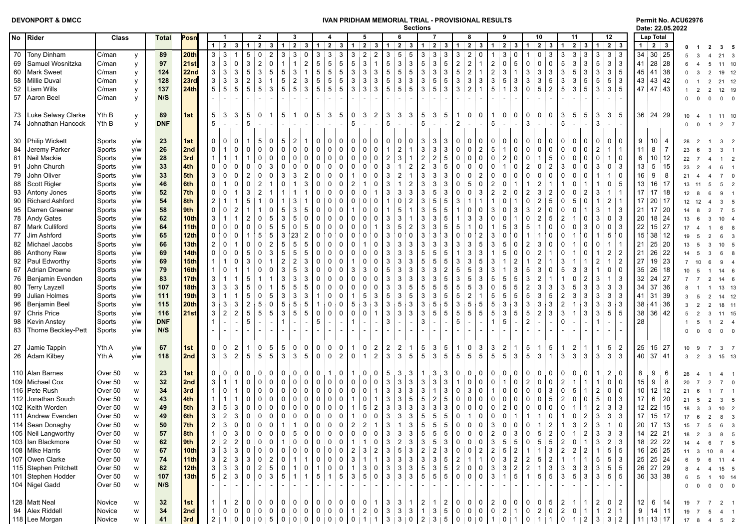| <b>DEVONPORT &amp; DMCC</b> |  |
|-----------------------------|--|
|-----------------------------|--|

## **DEVONPORT & DMCC IVAN PRIDHAM MEMORIAL TRIAL - PROVISIONAL RESULTS Permit No. ACU62976**

## **Sections Date: 22.05.2022**

|    |                          |                          |              |                  |                 |                                  |                                |                                                             |                                                     |                  |                          |                                                                         |                                                                                                                                                                                                         |                           |                                                                |                | งธนเบเเจ       |                                             |                                                                                                                                                                                                                                                                                              |                                                                                                                      |                |                                                |                                                         |                                                          |                                       |                                             |                 |                                                       |                | Date: 22.05.2022                  |              |                                   |                   |  |
|----|--------------------------|--------------------------|--------------|------------------|-----------------|----------------------------------|--------------------------------|-------------------------------------------------------------|-----------------------------------------------------|------------------|--------------------------|-------------------------------------------------------------------------|---------------------------------------------------------------------------------------------------------------------------------------------------------------------------------------------------------|---------------------------|----------------------------------------------------------------|----------------|----------------|---------------------------------------------|----------------------------------------------------------------------------------------------------------------------------------------------------------------------------------------------------------------------------------------------------------------------------------------------|----------------------------------------------------------------------------------------------------------------------|----------------|------------------------------------------------|---------------------------------------------------------|----------------------------------------------------------|---------------------------------------|---------------------------------------------|-----------------|-------------------------------------------------------|----------------|-----------------------------------|--------------|-----------------------------------|-------------------|--|
| No | Rider                    | Class                    | <b>Total</b> | Posn             |                 |                                  |                                | $\overline{2}$                                              | 3                                                   |                  |                          |                                                                         | 5                                                                                                                                                                                                       |                           | 6                                                              |                |                | 7                                           |                                                                                                                                                                                                                                                                                              | 8                                                                                                                    |                | 9                                              |                                                         | 10                                                       |                                       | 11                                          |                 | 12                                                    |                | <b>Lap Total</b>                  |              |                                   |                   |  |
|    |                          |                          |              |                  |                 | $1 \mid 2$                       | 3 <sup>1</sup><br>$\mathbf{1}$ | $\overline{2}$<br>3 <sup>1</sup>                            | $\vert$ 1                                           | $2 \mid 3$       | $\mathbf{1}$             | $2 \mid 3$                                                              | $\overline{2}$<br>1                                                                                                                                                                                     | 3                         | $\overline{2}$<br>$\overline{1}$                               | 3 <sup>1</sup> | $\mathbf{1}$   | $\overline{2}$                              | 3 1                                                                                                                                                                                                                                                                                          | $\overline{2}$<br>3 <sup>1</sup>                                                                                     | $\mathbf{1}$   | 23                                             | 1 <sup>1</sup>                                          | $\overline{2}$<br>$\mathbf{3}$                           | $\mathbf{1}$                          | $\overline{2}$<br>$\mathbf{3}$              | $\mathbf{1}$    | $2 \mid 3$                                            | 1 <sup>1</sup> | $2 \mid 3$                        |              |                                   | 35                |  |
| 70 | Tony Dinham              | C/man<br>у               | 89           | 20th             | 3 <sup>3</sup>  | $\mathbf{3}$                     | 5                              | $\overline{2}$                                              | 3<br>3 <sup>1</sup>                                 | $\mathbf 0$      | 3                        | 3<br>3                                                                  | $\mathbf{3}$<br>$\overline{2}$                                                                                                                                                                          | $\overline{c}$            | 5<br>3                                                         | 5              | 3              | 3<br>-3                                     | 3                                                                                                                                                                                                                                                                                            | $\overline{2}$<br>$\Omega$                                                                                           |                | 3<br>$\mathbf 0$                               |                                                         | 3                                                        | 3                                     | $\mathbf{3}$<br>3                           | 3               | $3 \mid 3$                                            |                | 34 30 25                          |              |                                   | 21                |  |
| 69 | Samuel Wosnitzka         | C/man                    | 97           | 21st             | 3               | 3<br>$\mathbf 0$                 | 3                              | $\sqrt{2}$<br>$\mathbf{0}$                                  | $\mathbf{1}$                                        | $\overline{2}$   | $\,$ 5 $\,$              | 5<br>5                                                                  | $\sqrt{5}$<br>3                                                                                                                                                                                         | $\mathbf{1}$              | $\mathbf{3}$<br>5                                              | $\sqrt{3}$     | 5              | $\ensuremath{\mathsf{3}}$<br>5              | $\sqrt{2}$                                                                                                                                                                                                                                                                                   | $\sqrt{2}$                                                                                                           | $\sqrt{2}$     | $5\phantom{.0}$<br>$\mathbf 0$                 | $\pmb{0}$                                               | 0<br>0                                                   | $\,$ 5 $\,$                           | 3<br>3                                      | 5               | $3 \mid 3$                                            | 41             | 28 28                             |              |                                   | 11 10             |  |
| 60 | Mark Sweet               | C/man<br>y               | 124          | 22nd             | $\mathbf{3}$    | 3<br>3                           | 5                              | $\sqrt{3}$<br>5                                             | $\,$ 5 $\,$<br>3                                    |                  | $\sqrt{5}$<br>5          | $5\phantom{.0}$                                                         | $\sqrt{3}$<br>3                                                                                                                                                                                         | $\mathbf{3}$              | $\sqrt{5}$<br>5                                                | $\,$ 5 $\,$    | $\mathbf{3}$   | $\sqrt{3}$<br>∶ ვ                           | $\,$ 5 $\,$                                                                                                                                                                                                                                                                                  | $\sqrt{2}$                                                                                                           | $\sqrt{2}$     | 3<br>$\overline{1}$                            | $\mathbf 3$                                             | 3<br>3                                                   | $\mathbf{3}$                          | $\overline{5}$<br>$\ensuremath{\mathsf{3}}$ | $\mathbf{3}$    | 3 5                                                   | 45             | 41 38                             |              |                                   | 19                |  |
|    | 58 Millie Duval          | C/man<br>y               | 128          | 23rd             | 3               | $\sqrt{3}$<br>3                  | $\overline{2}$                 | 3<br>-1                                                     | 5<br>$\overline{c}$                                 | 3                | 5<br>5                   | $\overline{5}$                                                          | $\mathbf{3}$<br>3                                                                                                                                                                                       | $\ensuremath{\mathsf{3}}$ | $\mathbf{3}$<br>5                                              | $\mathbf{3}$   | 3              | $\,$ 5 $\,$<br>5                            | $\mathbf{3}$                                                                                                                                                                                                                                                                                 | $\mathbf{3}$<br>3                                                                                                    | $\mathbf 3$    | 3<br>5                                         | $\mathbf{3}$                                            | 5<br>3                                                   | 3                                     | $\mathbf 5$<br>3                            | 5               | $\overline{5}$<br>ုံ 3                                | 43             | 43 42                             |              |                                   | 21                |  |
| 52 | Liam Wills               | C/man<br>y               | 137          | 24th             | 5               | 5<br>5                           | 5                              | 5<br>3                                                      | 5<br>5                                              | 3                | 5                        | 5<br>5                                                                  | $\mathbf{3}$<br>3                                                                                                                                                                                       | 3                         | 5<br>5                                                         | 5              | 3              | $\overline{5}$<br>3                         | 3                                                                                                                                                                                                                                                                                            | $\overline{2}$                                                                                                       | $\,$ 5 $\,$    | $\mathbf{3}$<br>$\mathbf{1}$                   | $\mathbf 0$                                             | $\overline{c}$<br>5                                      | 5                                     | 3<br>5                                      | 3               | $\mathbf{3}$<br>5                                     |                | 47 47 43                          |              | $\overline{2}$<br>$\overline{2}$  | 12 19             |  |
|    | 57 Aaron Beel            | C/man<br>y               | N/S          |                  |                 |                                  |                                |                                                             |                                                     |                  |                          |                                                                         |                                                                                                                                                                                                         |                           |                                                                |                |                |                                             |                                                                                                                                                                                                                                                                                              |                                                                                                                      |                |                                                |                                                         |                                                          |                                       |                                             |                 |                                                       |                |                                   |              | $\Omega$<br>$\Omega$              | $\overline{0}$    |  |
|    |                          |                          |              |                  |                 |                                  |                                |                                                             |                                                     |                  |                          |                                                                         |                                                                                                                                                                                                         |                           |                                                                |                |                |                                             |                                                                                                                                                                                                                                                                                              |                                                                                                                      |                |                                                |                                                         |                                                          |                                       |                                             |                 |                                                       |                |                                   |              |                                   |                   |  |
|    | 73 Luke Selway Clarke    | Yth B                    | 89           | 1st              | 5               | 3<br>3                           | 5                              | $\Omega$<br>1                                               | 5                                                   | 0                | 5                        | 5<br>3                                                                  | $\mathbf 0$<br>3                                                                                                                                                                                        | $\overline{2}$            | 3<br>3                                                         | 3              | 5              | 3<br>5                                      | $\mathbf{1}$                                                                                                                                                                                                                                                                                 | $\mathbf 0$<br>$\mathbf{0}$                                                                                          | $\mathbf 1$    | $\mathbf 0$<br>$\mathbf 0$                     | $\mathbf 0$                                             | 0<br>$\Omega$                                            | 3                                     | 5<br>5                                      | 3               | 3<br>-5                                               |                | $36 \mid 24 \mid 29$              |              |                                   |                   |  |
|    |                          | y<br>Yth B               | <b>DNF</b>   |                  | 5               |                                  | 5                              |                                                             |                                                     |                  |                          |                                                                         | 5                                                                                                                                                                                                       | $\sim$                    | 5                                                              |                | 5              | $\sim$                                      | $\overline{2}$                                                                                                                                                                                                                                                                               |                                                                                                                      | $\,$ 5 $\,$    | $\sim$                                         | 3                                                       |                                                          | 5                                     |                                             | 3               | $\sim$                                                |                |                                   |              |                                   | 11                |  |
|    | 74 Johnathan Hancock     | y                        |              |                  |                 |                                  |                                |                                                             |                                                     |                  |                          |                                                                         |                                                                                                                                                                                                         |                           |                                                                |                |                |                                             |                                                                                                                                                                                                                                                                                              | $\sim$                                                                                                               |                | $\blacksquare$                                 |                                                         |                                                          |                                       |                                             |                 |                                                       |                |                                   |              |                                   | 2                 |  |
|    |                          |                          |              |                  |                 |                                  |                                |                                                             |                                                     |                  |                          |                                                                         |                                                                                                                                                                                                         |                           |                                                                |                |                |                                             |                                                                                                                                                                                                                                                                                              |                                                                                                                      |                |                                                |                                                         |                                                          |                                       |                                             |                 |                                                       |                |                                   |              |                                   |                   |  |
|    | 30 Philip Wickett        | Sports<br>y/w            | 23           | 1st              |                 | 0                                |                                | 5<br>$\Omega$                                               | 5<br>$\overline{2}$                                 |                  | 0                        | $\mathbf{0}$<br>0                                                       | 0<br>0                                                                                                                                                                                                  | 0                         | 0<br>0                                                         | 0              | 3              | 3<br>3                                      | 0                                                                                                                                                                                                                                                                                            | 0<br>0                                                                                                               | 0              | 0<br>0                                         | 0                                                       | 0                                                        | 0                                     | 0                                           |                 | 0<br>0                                                | 9              | 10:<br>-4                         |              |                                   |                   |  |
| 84 | Jeremy Parker            | y/w<br>Sports            | 26           | 2nd              | 0               | $\mathbf 0$                      | $\mathbf 0$                    | $\Omega$<br>$\Omega$                                        | $\mathbf 0$<br>0                                    | 0                | $\mathbf 0$              | $\mathbf 0$<br>$\mathsf{O}$                                             | $\mathsf 0$<br>$\mathbf 0$                                                                                                                                                                              | 0                         | $\overline{2}$                                                 |                | 3              | $\mathbf{3}$<br>-3                          | $\mathbf 0$                                                                                                                                                                                                                                                                                  | $\mathbf 0$<br>$\overline{2}$                                                                                        | $\,$ 5 $\,$    | $\mathbf 0$<br>$\mathbf{1}$                    | $\mathbf 0$                                             | 0<br>$\mathbf 0$                                         | $\mathbf 0$                           | 0<br>$\Omega$                               | $\overline{2}$  | $\mathbf{1}$<br>1:                                    | 11             | 8<br>$\overline{7}$               | 23           |                                   |                   |  |
| 81 | Neil Mackie              | y/w<br>Sports            | 28           | 3rd              |                 |                                  |                                | $\Omega$<br>$\Omega$                                        | $\mathbf 0$<br>$\Omega$                             | $\mathbf 0$      | $\Omega$                 | 0<br>$\mathbf 0$                                                        | $\mathbf 0$<br>$\mathbf 0$                                                                                                                                                                              | $\mathbf 0$               | 3<br>$\overline{2}$                                            |                | 2              | $\sqrt{2}$<br>5                             | $\mathbf 0$                                                                                                                                                                                                                                                                                  | $\mathbf 0$<br>$\mathbf 0$                                                                                           | $\mathsf 0$    | $\overline{2}$<br>$\mathbf 0$                  | $\mathbf 0$                                             | 5                                                        | $\mathbf 0$                           | 0<br>$\Omega$                               | $\Omega$        | $\mathbf{1}$<br>0                                     | 6              | 10 12                             | 22           |                                   |                   |  |
| 91 | John Church              | y/w<br>Sports            | 33           | 4th              | $\Omega$        | $\Omega$<br>0                    | $\Omega$                       | 3                                                           | 0<br>$\Omega$                                       | 0                | $\mathbf 0$<br>0         | 0                                                                       | $\mathbf 0$<br>0                                                                                                                                                                                        | 0                         | 3<br>$\mathbf{1}$                                              | $\overline{2}$ | $\overline{2}$ | $\mathbf 3$<br>5                            | $\Omega$                                                                                                                                                                                                                                                                                     | $\mathbf 0$<br>$\mathbf{0}$                                                                                          | $\mathbf 0$    | $\mathbf 0$                                    | $\overline{2}$                                          | $\overline{2}$                                           | 3                                     | 0<br>$\Omega$                               | 3               | 0<br>! ვ                                              | 13             | $5 \mid 15$                       | 23           |                                   |                   |  |
| 79 | John Oliver              | Sports<br>y/w            | 33           | 5th              | 3               | $\mathbf 0$                      |                                | $\Omega$<br>$\Omega$                                        | 3<br>3                                              | $\overline{2}$   | $\Omega$<br>$\Omega$     | $\Omega$                                                                | $\Omega$                                                                                                                                                                                                | $\mathbf 0$               | $\overline{2}$<br>3                                            |                | 3              | $\ensuremath{\mathsf{3}}$<br>3              | $\Omega$                                                                                                                                                                                                                                                                                     | $\Omega$<br>2                                                                                                        | $\mathbf{0}$   | $\Omega$<br>$\Omega$                           | $\mathbf 0$                                             | 0                                                        | $\Omega$                              | $\Omega$                                    |                 | $\overline{1}$<br>0                                   | 16             | 9<br>8                            |              |                                   |                   |  |
| 88 | Scott Rigler             | y/w<br>Sports            | 46           | 6th              | $\Omega$        | $\mathbf 0$                      | $\Omega$                       | $\overline{2}$<br>-1                                        | 0                                                   | 3                | $\mathbf 0$              | 0<br>0                                                                  | $\overline{2}$                                                                                                                                                                                          | 0                         | 3<br>1                                                         | $\overline{2}$ | 3              | $\ensuremath{\mathsf{3}}$<br>3              | 0                                                                                                                                                                                                                                                                                            | 5<br>$\Omega$                                                                                                        | $\overline{2}$ | $\Omega$                                       |                                                         | $\overline{2}$<br>1                                      |                                       | 0                                           |                 | $\mathsf 0$<br>5                                      | 13             | 16:17                             | 13           |                                   |                   |  |
| 93 | Antony Jones             | y/w<br>Sports            | 52           | 7th              | $\Omega$        | 0                                | 3                              | $\overline{2}$                                              |                                                     |                  | $\Omega$<br>$\Omega$     | 0                                                                       | $\mathbf 0$<br>0                                                                                                                                                                                        | $\mathbf{1}$              | 3<br>3                                                         | 3              | 3              | 5<br>3                                      | $\mathbf 0$                                                                                                                                                                                                                                                                                  | $\Omega$<br>3                                                                                                        | $\overline{2}$ | $\overline{2}$<br>$\Omega$                     | $\overline{2}$                                          | 2<br>3                                                   |                                       | 0<br>$\overline{2}$                         | 3               | $\overline{1}$                                        | 17             | $17 \,   18$                      |              |                                   |                   |  |
| 90 | <b>Richard Ashford</b>   | Sports<br>y/w            | 54           | 8th              |                 |                                  | 5                              | $\Omega$                                                    | 3                                                   |                  | $\Omega$<br>$\Omega$     | $\Omega$                                                                | $\Omega$<br>$\Omega$                                                                                                                                                                                    | $\mathbf 0$               | $\Omega$                                                       |                | 3              | 5<br>-5                                     | 3                                                                                                                                                                                                                                                                                            |                                                                                                                      |                | $\Omega$                                       | $\Omega$                                                | 5                                                        | $\Omega$                              | 5<br>$\Omega$                               |                 | $\overline{\mathbf{c}}$                               | 17             | $20$ 17                           | 12           | 12                                | $\mathbf{3}$      |  |
| 95 | Darren Greener           | y/w<br>Sports            | 58           | 9th              | $\mathbf 0$     | $\overline{2}$                   |                                |                                                             | 3<br>5                                              |                  | $\Omega$<br>$\mathbf{0}$ | 0                                                                       |                                                                                                                                                                                                         | 0                         | 5                                                              |                | 3              | 5<br>5                                      |                                                                                                                                                                                                                                                                                              | $\Omega$                                                                                                             |                | 3<br>$\Omega$                                  | 3                                                       | $\mathbf 0$                                              | $\Omega$                              | 0                                           | 3               | $\mathbf{1}$<br>3                                     | 21             | $17 \overline{\smash{\big)}\ 20}$ |              |                                   |                   |  |
| 78 | Andy Gates               | y/w<br>Sports            | 62           | 10th             | 3               |                                  |                                | $\Omega$<br>5                                               | 3<br>5                                              | 0                | $\Omega$<br>$\mathbf{0}$ | 0                                                                       | $\mathbf 0$<br>$\Omega$                                                                                                                                                                                 | 0                         | 3                                                              |                | 3              | 3<br>5                                      |                                                                                                                                                                                                                                                                                              | 3<br>3                                                                                                               | $\Omega$       | $\Omega$                                       | $\mathbf 0$                                             | 5                                                        | $\overline{2}$                        |                                             | 3               | $\mathsf 0$<br>း ဒ                                    | 20             | 18 24                             |              |                                   |                   |  |
|    | 87 Mark Culliford        | y/w<br>Sports            | 64           | 11th             |                 | $\mathbf 0$                      | $\mathbf{0}$                   | 5<br>$\Omega$                                               | 5<br>$\mathbf 0$                                    | 5                | 0                        | $\Omega$<br>0                                                           | $\mathbf 0$<br>$\mathbf 0$                                                                                                                                                                              | $\mathbf{1}$              | 5<br>3                                                         | $\overline{2}$ | 3              | 3<br>5                                      | 5                                                                                                                                                                                                                                                                                            | $\Omega$                                                                                                             |                | 3<br>5                                         | 5                                                       | 0                                                        | 0                                     | 0<br>3                                      | $\Omega$        | 0<br>  ვ                                              | 22             | 15 27                             |              |                                   |                   |  |
|    |                          |                          |              |                  |                 | 0                                |                                | 5                                                           | 3                                                   |                  |                          |                                                                         |                                                                                                                                                                                                         |                           |                                                                |                |                |                                             |                                                                                                                                                                                                                                                                                              | $\Omega$                                                                                                             |                |                                                |                                                         | 0                                                        |                                       |                                             |                 |                                                       |                |                                   | 17           |                                   |                   |  |
| 77 | Jim Ashford              | y/w<br>Sports            | 65           | 12th             |                 | 0                                |                                | 5                                                           | 23                                                  | 2                | 0<br>0                   | $\Omega$                                                                | $\mathbf 0$<br>$\Omega$                                                                                                                                                                                 | 0                         | 0                                                              | $\Omega$       | 3              | 3<br>3                                      |                                                                                                                                                                                                                                                                                              | $\overline{2}$                                                                                                       | 3              | 0<br>$\Omega$                                  |                                                         |                                                          | $\Omega$                              |                                             |                 | 5<br>0                                                | 15             | 38:12                             |              |                                   |                   |  |
| 82 | Michael Jacobs           | Sports<br>y/w            | 66           | 13th             |                 | 0                                | $\mathbf{0}$                   | $\Omega$<br>$\overline{2}$                                  | 5<br>5                                              | 5                | $\Omega$<br>$\mathbf{0}$ | $\Omega$                                                                | $\Omega$                                                                                                                                                                                                | $\mathbf 0$               | 3                                                              | 3              | 3              | 3<br>3                                      | 3                                                                                                                                                                                                                                                                                            | 3<br>5                                                                                                               | 3              | 5<br>$\Omega$                                  | $\overline{2}$                                          | $\mathbf 0$<br>3                                         | $\Omega$                              |                                             |                 | $\overline{1}$                                        | 21             | 25 20                             | 13           | 5                                 | 10 <sup>1</sup>   |  |
| 86 | Anthony Rew              | y/w<br>Sports            | 69           | 14th             | 0               | $\mathbf 0$<br>0                 | 5                              | $\mathbf 0$<br>3                                            | 5<br>5                                              | 5                | $\mathbf 0$              | 0<br>0                                                                  | $\mathbf 0$<br>$\Omega$                                                                                                                                                                                 | 0                         | 3<br>3                                                         | 3              | 5              | $\,$ 5 $\,$<br>5                            |                                                                                                                                                                                                                                                                                              | 3<br>3                                                                                                               |                | 5<br>$\Omega$                                  | $\mathbf 0$                                             | 1                                                        | 0                                     | $\Omega$                                    |                 | $\overline{2}$<br>: 2                                 | 21             | 26 22                             |              |                                   |                   |  |
| 92 | Paul Edworthy            | y/w<br>Sports            | 69           | 15 <sub>th</sub> |                 | 0                                |                                | $\Omega$                                                    | $\overline{2}$<br>$\overline{2}$                    | 3                | $\Omega$<br>$\mathbf{0}$ | $\Omega$                                                                | $\Omega$                                                                                                                                                                                                | 0                         | 3                                                              | 3              | 5              | 5<br>5                                      | 3                                                                                                                                                                                                                                                                                            | 3<br>5                                                                                                               | 3              | $\overline{2}$                                 |                                                         | 1                                                        | 3                                     |                                             | 2               | $\mathbf{1}$<br>$\overline{2}$                        | 27             | 19 23                             |              |                                   | 9                 |  |
| 67 | Adrian Drowne            | y/w<br>Sports            | 79           | 16th             |                 | 0                                |                                | $\Omega$                                                    | 3<br>5                                              | 3                | $\Omega$                 | $\Omega$<br>0                                                           | $\mathbf{3}$<br>3                                                                                                                                                                                       | $\mathbf 0$               | 3<br>5                                                         | 3              | 3              | $\ensuremath{\mathsf{3}}$<br>$\overline{2}$ | 5                                                                                                                                                                                                                                                                                            | 5<br>3                                                                                                               | 3              | 3                                              | 5                                                       | 3<br>0                                                   | 5                                     | 3<br>3                                      |                 | $\mathbf 0$<br>i 0                                    | 35             | 26 18                             |              | - 5                               | 14 6              |  |
| 76 | Benjamin Evenden         | y/w<br>Sports            | 83           | <b>17th</b>      |                 |                                  | 5                              |                                                             | 3<br>3                                              | 3                | $\Omega$<br>0            | $\Omega$                                                                | $\mathbf 0$<br>$\Omega$                                                                                                                                                                                 | $\Omega$                  | 3                                                              | 3              | 3              | 3<br>5                                      | 3                                                                                                                                                                                                                                                                                            | 5<br>3                                                                                                               | 5              | 5<br>5                                         | 3                                                       | 1                                                        |                                       | $\overline{2}$<br>0                         | 3               | $\overline{1}$<br>  ვ                                 | 32             | $24$ 27                           |              |                                   | 14                |  |
| 80 | <b>Terry Layzell</b>     | Sports<br>y/w            | 107          | 18th             | 3               | 3<br>3                           | 5                              | $\Omega$                                                    | 5<br>5                                              | 5                | $\Omega$<br>$\mathbf{0}$ | $\Omega$                                                                | $\mathbf 0$                                                                                                                                                                                             | $\Omega$                  | 3                                                              | 5              | 5              | 5<br>5                                      | 5                                                                                                                                                                                                                                                                                            | 5<br>3                                                                                                               | $\mathbf 0$    | 5<br>5                                         | $\overline{2}$                                          | 3<br>3                                                   | 3                                     | 5<br>3                                      | 3               | 3<br>း ဒ                                              | 34             | 37 36                             |              |                                   | $13 - 13$         |  |
| 99 | Julian Holmes            | y/w<br>Sports            | 111          | 19th             | 3               | $\mathbf{1}$                     | 5                              | $\mathbf 0$<br>5                                            | 3<br>3                                              | 3                |                          | 0<br>0                                                                  | 5<br>$\overline{\mathbf{1}}$                                                                                                                                                                            | 3                         | 3<br>5                                                         | 5              | 3              | $\ensuremath{\mathsf{3}}$<br>5              | 5                                                                                                                                                                                                                                                                                            | $\overline{2}$                                                                                                       | 5              | 5<br>5                                         | $\,$ 5 $\,$                                             | 5<br>3                                                   | $\overline{2}$                        | 3<br>3                                      | 3               | $3 \mid 3$                                            | 41             | 31 39                             |              |                                   | 14 12             |  |
| 96 | Benjamin Beel            | y/w<br>Sports            | 115          | 20th             | 3               | 3<br>3                           | $\overline{2}$                 | 5                                                           | 5<br>5                                              | 5                | $\mathbf{0}$             | $\Omega$                                                                | 5<br>3                                                                                                                                                                                                  | $\mathbf{3}$              | 5<br>3                                                         | 3              | 3              | 5<br>5                                      | 3                                                                                                                                                                                                                                                                                            | 5<br>5                                                                                                               | 5              | 3<br>3                                         | $\mathbf{3}$                                            | 3<br>3                                                   | $\overline{c}$                        | 3                                           | 3               | $\ensuremath{\mathsf{3}}$<br>  ვ                      | 38             | 41 36                             |              |                                   | 18                |  |
| 97 | Chris Price              | y/w<br>Sports            | 116          | 21st             | 3               | $\overline{2}$<br>$\overline{2}$ | 5                              | 5<br>5                                                      | 3<br>5                                              | 5                | $\mathbf 0$              | $\mathbf 0$<br>0                                                        | $\mathbf 0$<br>$\mathbf 0$                                                                                                                                                                              | $\mathbf{1}$              | 3<br>3                                                         | 3              | 3              | $\overline{5}$<br>5                         | 5                                                                                                                                                                                                                                                                                            | $5\phantom{1}$<br>5                                                                                                  | $\sqrt{5}$     | 5<br>3                                         | $5\phantom{.0}$                                         | 3<br>$\overline{2}$                                      | 3                                     | 3                                           | 3               | 5<br>5                                                | 38             | 36 42                             |              |                                   | 11 15             |  |
|    | 98   Kevin Anstey        | y/w<br>Sports            | <b>DNF</b>   |                  |                 |                                  | 5                              |                                                             |                                                     |                  | 5                        |                                                                         |                                                                                                                                                                                                         |                           | 3                                                              |                | 3              |                                             | 5                                                                                                                                                                                                                                                                                            |                                                                                                                      |                | 5                                              | $\overline{2}$                                          |                                                          | $\Omega$                              |                                             |                 |                                                       | 28             |                                   |              |                                   | $\overline{2}$    |  |
|    | 83   Thorne Beckley-Pett | y/w<br>Sports            | N/S          |                  |                 |                                  |                                |                                                             |                                                     |                  |                          |                                                                         |                                                                                                                                                                                                         |                           |                                                                |                |                |                                             |                                                                                                                                                                                                                                                                                              |                                                                                                                      |                |                                                |                                                         |                                                          |                                       |                                             |                 |                                                       |                |                                   |              |                                   |                   |  |
|    |                          |                          |              |                  |                 |                                  |                                |                                                             |                                                     |                  |                          |                                                                         |                                                                                                                                                                                                         |                           |                                                                |                |                |                                             |                                                                                                                                                                                                                                                                                              |                                                                                                                      |                |                                                |                                                         |                                                          |                                       |                                             |                 |                                                       |                |                                   |              |                                   |                   |  |
|    |                          |                          |              | 1st              | $\Omega$        | $\overline{2}$<br>$\Omega$       |                                | $\Omega$<br>5                                               | 5<br>0 <sup>1</sup>                                 | $\mathbf 0$      | 0                        | $\mathbf{0}$<br>$\mathbf 0$                                             | $\overline{1}$<br>$\mathbf 0$                                                                                                                                                                           |                           | $\overline{2}$                                                 |                | 5              | 5                                           |                                                                                                                                                                                                                                                                                              | $\mathbf 0$<br>3                                                                                                     |                |                                                | 5                                                       | $\mathbf{1}$                                             | -1                                    | $\overline{2}$                              |                 |                                                       | 25             | 15 27                             |              |                                   |                   |  |
| 27 | Jamie Tappin             | Yth A<br>y/w             | 67           |                  |                 | 3                                | $\overline{2}$<br>5            | 5                                                           | $\mathbf{3}$<br>3 <sup>1</sup>                      |                  |                          |                                                                         | $\mathbf 0$<br>$\overline{1}$                                                                                                                                                                           | $\overline{2}$            | $\overline{2}$<br>3<br>3                                       | 5              | 5              | 3<br>$\mathbf{3}$                           | $\overline{1}$<br>$5\phantom{.0}$                                                                                                                                                                                                                                                            | 5                                                                                                                    | 3<br>5         | $\overline{2}$<br>$\mathbf{1}$<br>$\mathbf{3}$ | 5                                                       | 5<br>$\mathbf{1}$<br>$\mathbf{3}$                        |                                       | $\mathbf{3}$                                | $\mathbf{3}$    | $\overline{5}$<br>$\overline{2}$<br>3<br>! ვ          |                |                                   |              |                                   |                   |  |
|    | 26 Adam Kilbey           | Yth A<br>y/w             | 118          | 2nd              | 3               |                                  |                                | 5                                                           |                                                     | 5                | 0                        | $\overline{2}$<br>$\mathbf 0$                                           |                                                                                                                                                                                                         | $\mathbf{2}$              |                                                                |                |                | 5                                           |                                                                                                                                                                                                                                                                                              | 5                                                                                                                    |                | 5                                              |                                                         |                                                          | 3                                     | 3                                           |                 |                                                       |                | 40 37 41                          | 3            | 2<br>$\mathcal{R}$                | 15 13             |  |
|    |                          |                          |              |                  |                 |                                  |                                |                                                             |                                                     |                  |                          |                                                                         |                                                                                                                                                                                                         |                           |                                                                |                |                |                                             |                                                                                                                                                                                                                                                                                              |                                                                                                                      |                |                                                |                                                         |                                                          |                                       |                                             |                 |                                                       |                |                                   |              |                                   |                   |  |
|    | 110 Alan Barnes          | Over 50<br>W             | 23           | 1st              | $\Omega$        | 0<br>0                           | 0                              | $\Omega$<br>$\Omega$                                        | 0<br>0                                              | 0                | $\Omega$                 | 0<br>1                                                                  | 0                                                                                                                                                                                                       | 0                         | 3                                                              | 3              | $\mathbf{1}$   | 3<br>-3                                     | 0                                                                                                                                                                                                                                                                                            | 0<br>0                                                                                                               | 0              | 0<br>0                                         | 0                                                       | 0<br>0                                                   | 0                                     | 0                                           |                 | $\overline{\mathbf{c}}$<br>0                          | 8              | 9<br>6                            |              |                                   |                   |  |
|    | 109 Michael Cox          | Over 50<br>W             | 32           | 2nd              | 3               | $\mathbf{1}$                     | 0                              | $\Omega$<br>$\Omega$                                        | 0<br>$\mathbf 0$                                    | 0                | 0                        | $\mathsf{O}$<br>$\Omega$                                                | $\mathbf 0$<br>0                                                                                                                                                                                        | 0                         | 3<br>3                                                         | 3              | 3              | 3<br>3                                      |                                                                                                                                                                                                                                                                                              | $\mathbf 0$<br>$\Omega$                                                                                              | $\mathbf 0$    | $\mathsf{O}$<br>1                              | $\overline{2}$                                          | 0<br>0                                                   | $\overline{2}$                        |                                             |                 | 0<br>0                                                | 15             | 9<br>8                            |              |                                   |                   |  |
|    | 116 Pete Rush            | Over 50<br>W             | 34           | 3rd              |                 | 0                                | $\Omega$                       | $\Omega$<br>$\Omega$                                        | 0<br>$\mathbf 0$                                    | $\mathbf 0$      | $\mathbf 0$              | $\mathbf 0$<br>0                                                        | $\mathbf 0$<br>0                                                                                                                                                                                        | $\overline{1}$            | 3<br>3                                                         | 3              | 3              | 3<br>$\mathbf{1}$                           | 0                                                                                                                                                                                                                                                                                            | 3<br>0                                                                                                               |                | 0<br>$\Omega$                                  | $\mathbf 0$                                             | 3                                                        | 0                                     | 5                                           | 2               | $\mathsf 0$<br>i 0                                    | 10             | $12 \mid 12$                      | 21           |                                   |                   |  |
|    | 112 Jonathan Souch       | Over 50<br>W             | 43           | 4th              |                 |                                  | $\Omega$                       | $\Omega$<br>$\Omega$                                        | $\Omega$<br>$\Omega$                                | $\mathbf{0}$     | $\Omega$<br>$\mathbf{0}$ | 0                                                                       | $\overline{1}$<br>$\Omega$                                                                                                                                                                              | $\overline{1}$            | 3<br>3                                                         | 5              | 5              | $\overline{c}$<br>5                         | 0                                                                                                                                                                                                                                                                                            | $\mathbf 0$<br>$\mathbf{0}$                                                                                          | $\Omega$       | $\Omega$<br>$\Omega$                           | $\Omega$                                                | 5                                                        | $\overline{2}$                        | $\Omega$                                    | 5               | $\mathsf 0$<br>3                                      | 17             | 6<br> 20                          | 21           | -5                                | $\mathbf{3}$      |  |
|    | 102   Keith Worden       | Over 50<br>W             | 49           | 5th              | 3               | 5<br>3                           | 0                              | $\Omega$<br>0                                               | 0<br>$\mathbf 0$                                    | 0                | 0                        | 0<br>0                                                                  | $\overline{1}$<br>5                                                                                                                                                                                     | $\overline{c}$            | 3<br>3                                                         | 3              | 3              | $\mathbf 3$<br>3                            | 0                                                                                                                                                                                                                                                                                            | $\mathbf 0$<br>0                                                                                                     | 0              | $\overline{2}$<br>0                            | $\mathbf 0$                                             | 0<br>0                                                   | $\mathbf 0$                           | $\mathbf{1}$                                | $\overline{2}$  | $\mathsf 3$<br>3                                      | 12             | 22 15                             | 18           |                                   | 10 <sup>1</sup>   |  |
|    | 111 Andrew Evenden       | Over 50<br>W             | 49           | 6th              | 3               | $\overline{2}$<br>3              | $\mathbf 0$                    | 0<br>$\pm 0$                                                | $\mathsf{O}$<br>$\stackrel{+}{\scriptstyle \sim} 0$ | $\mathsf{O}$     | 0                        | $\mathbf 0$<br>$\mathbf 0$                                              | $\overline{1}$<br>$\mathbf 0$                                                                                                                                                                           | $\mathsf{O}$              | $\mathbf{3}$<br>3                                              | $\mathbf{3}$   | 5              | 5<br>5                                      | $\mathsf{O}$                                                                                                                                                                                                                                                                                 | $\mathbf{1}$<br>$\mathbf 0$                                                                                          | $\mathbf 0$    | $\mathbf 0$<br>$\mathbf{1}$                    | $\overline{1}$                                          | 0<br>-1                                                  | $\overline{1}$                        | 0<br>$\overline{2}$                         | 3               | 3<br>$\overline{3}$                                   | 17             | 15 17                             | 17           | 6<br>2                            | 8                 |  |
|    | 114 Sean Donaghy         | Over 50<br>W             | 50           | 7 <sup>th</sup>  | 2               | 3<br>$\mathbf 0$                 | $\mathbf 0$                    | $\mathbf 0$<br>$\mathbf 0$                                  | 11<br>$\overline{1}$                                | $\mathbf 0$      | $\mathbf 0$              | 0:0                                                                     | $\overline{2}$<br>$\overline{2}$                                                                                                                                                                        | $\mathbf{1}$              | $\mathbf{3}$<br>$\mathbf{1}$                                   | 3              | 5              | 5                                           | 50                                                                                                                                                                                                                                                                                           | 0 <sup>1</sup><br>$\mathbf 0$                                                                                        | 3              | : 0 :                                          | 0   0                                                   | $\overline{2}$<br>$\mathbf{1}$                           | $\mathbf{1}$                          | $\overline{2}$<br>3                         | $\mathbf{3}$    | $\mathbf{1}$<br>0                                     | 20             | 17:13                             | 15           | $\overline{7}$<br>$5\overline{5}$ | 6                 |  |
|    | 105 Neil Langworthy      | Over 50<br>W             | 57           | 8th              |                 | 0                                | 3 <sup>1</sup><br>0            |                                                             | $0$   0                                             | $5 \mid 0$       | $\mathbf 0$              | $\begin{bmatrix} 0 & 0 \end{bmatrix}$                                   | $0 \mid 0$                                                                                                                                                                                              | $\mathbf 0$               | 3<br>$\mathbf{3}$                                              |                |                |                                             | $\begin{array}{r} 3\  \  \, 5\  \  \, 5\  \  \, 5\  \  \, 0\  \  \, 0\  \  \, 0\  \  \, 0\  \  \, 0\  \  \, 0\  \  \, 0\  \  \, 0\  \  \, 0\  \  \, 0\  \  \, 0\  \  \, 0\  \  \, 0\  \  \, 0\  \  \, 0\  \  \, 0\  \  \, 0\  \  \, 0\  \  \, 0\  \  \, 0\  \  \, 0\  \  \, 0\  \  \, 0\  \$ | $\overline{0}$<br>$\mathsf{O}$                                                                                       | $\sqrt{2}$     | $\overline{0}$                                 | 3 0                                                     | $5\phantom{.0}$                                          | $\mathbf 0$                           | $\boldsymbol{2}$                            | $\vert$ 3       |                                                       |                | $14$ 22 21                        | 18           | $\overline{2}$<br>$\mathbf{3}$    | 8 5               |  |
|    | 103 Ian Blackmore        | Over 50<br>W             | 62           | 9th              | $\overline{2}$  | $\overline{2}$                   | $2 \mid$<br>$\mathbf{0}$       | 0 0 1                                                       |                                                     | 0 0              |                          |                                                                         | $\begin{array}{c c c} 1 & 1 & 0 \\ 2 & 3 & 2 \\ 3 & 1 & 1 \\ 1 & 3 & 0 \end{array}$                                                                                                                     |                           | $\begin{array}{c} 3 \ 3 \ 3 \ 3 \ 4 \ 5 \ 6 \ 7 \ \end{array}$ |                |                |                                             |                                                                                                                                                                                                                                                                                              | $\overline{0}$<br>$\overline{0}$                                                                                     |                |                                                | $\boxed{0}$                                             | $\begin{array}{c} 2 \\ 5 \end{array}$<br>$5\overline{)}$ | $\overline{2}$                        | $\mathsf 0$<br>$\mathbf{1}$                 | $\mathbf{3}$    |                                                       |                | 18 22 22                          |              |                                   |                   |  |
|    | 108 Mike Harris          | Over 50<br>W             | 67           | 10th             |                 | $3 \mid 3$                       | 3 0                            | 0 0 0                                                       |                                                     | 0 0              |                          | $\begin{array}{c c} 0 & 0 & 0 \\ 0 & 0 & 0 \\ 0 & 0 & 0 \\ \end{array}$ |                                                                                                                                                                                                         |                           |                                                                |                |                |                                             |                                                                                                                                                                                                                                                                                              | $0 \mid 2 \mid$                                                                                                      |                |                                                | $\vert 1 \vert$                                         | $\mathbf{3}$<br>$\mathbf{1}$                             | $\vert$ 2                             | $\vert$ 2<br>$\sqrt{2}$                     | $\overline{1}$  |                                                       |                | 16 26 25                          | 11           | $\mathbf{3}$<br>10                | 8 4               |  |
|    | 107 Owen Clarke          | Over 50<br>W             | ${\bf 74}$   | 11th             |                 | $\overline{2}$                   | 3 <sup>1</sup>                 | $\pmb{0}$<br> 2                                             | $\overline{0}$<br>$\overline{1}$                    | 1                |                          |                                                                         |                                                                                                                                                                                                         |                           |                                                                |                |                |                                             |                                                                                                                                                                                                                                                                                              | $\vert 1 \vert$<br>1                                                                                                 |                |                                                |                                                         | $\sqrt{5}$                                               |                                       | $\mathbf{1}$                                | $5\overline{)}$ |                                                       |                | 25 25 24                          |              |                                   | $11 \quad 4$      |  |
|    | 115 Stephen Pritchett    | Over 50                  | 82           | 12th             | $\mathbf{3}$    | $\mathbf{3}$                     | 3 <sup>1</sup><br>$\mathbf 0$  | $\mathbf 2$<br>$5\overline{)}$                              | $\mathbf 0$<br>$\overline{1}$                       | $\mathbf 0$      | $\mathbf{1}$             | $\overline{0}$<br>$\overline{0}$                                        |                                                                                                                                                                                                         |                           |                                                                |                |                |                                             |                                                                                                                                                                                                                                                                                              | $\overline{0}$<br>$\overline{0}$                                                                                     |                |                                                |                                                         | $\begin{array}{c} 2 \\ 3 \end{array}$                    | $\mathbf{3}$                          | $\mathbf{3}$<br>$\ensuremath{\mathsf{3}}$   | $\mathbf{3}$    |                                                       |                | $26 \mid 27 \mid 29$              |              |                                   |                   |  |
|    |                          | W                        |              | 13th             |                 |                                  | $\mathbf 0$                    | $\pmb{0}$<br>$3 \mid 5$                                     |                                                     | 1                | 5 1                      | $5\phantom{.0}$                                                         | $\mathbf{3}$<br>$5\overline{)}$                                                                                                                                                                         | $\pmb{0}$                 |                                                                |                |                |                                             |                                                                                                                                                                                                                                                                                              | $0$ 0                                                                                                                |                |                                                | $\begin{bmatrix} 2 \\ 2 \\ 1 \end{bmatrix}$             | $\overline{5}$<br>$5\overline{)}$                        |                                       | $5\phantom{.0}$                             |                 |                                                       |                | 36 33 38                          |              |                                   | 15 5              |  |
|    | 101 Stephen Hodder       | Over 50<br>${\mathsf W}$ | 107          |                  | $5\overline{)}$ | $\overline{2}$<br>$\mathbf 3$    |                                |                                                             | $\overline{a}$                                      |                  |                          |                                                                         |                                                                                                                                                                                                         |                           |                                                                |                |                |                                             |                                                                                                                                                                                                                                                                                              |                                                                                                                      |                |                                                |                                                         |                                                          | $\mathbf{3}$                          | $\ensuremath{\mathsf{3}}$                   | $3\phantom{a}$  |                                                       |                |                                   |              |                                   | 10 14             |  |
|    | 104 Nigel Gadd           | Over 50                  | N/S<br>W     |                  |                 |                                  |                                |                                                             | $\sim$                                              | $\omega_{\rm c}$ |                          | $\omega$<br>$\sim$                                                      | $\overline{\phantom{a}}$                                                                                                                                                                                |                           | $\overline{a}$                                                 |                |                |                                             | $\overline{\phantom{a}}$                                                                                                                                                                                                                                                                     | $\sim$                                                                                                               | $\overline{a}$ | $\omega_{\rm c}$                               | $\mathbb{Z}$                                            |                                                          |                                       |                                             |                 | $\sim$                                                |                |                                   | $\Omega$     | $\mathbf 0$<br>$\mathbf 0$        | $0\qquad 0$       |  |
|    |                          |                          |              |                  |                 |                                  |                                |                                                             |                                                     |                  |                          |                                                                         |                                                                                                                                                                                                         |                           |                                                                |                |                |                                             |                                                                                                                                                                                                                                                                                              |                                                                                                                      |                |                                                |                                                         |                                                          |                                       |                                             |                 |                                                       |                |                                   |              |                                   |                   |  |
|    | 128 Matt Neal            | Novice<br>W              | 32           | 1st              |                 | $\overline{1}$                   | $2 \mid$<br>$\mathbf 0$        | 0 0 0                                                       |                                                     |                  |                          |                                                                         | $\begin{array}{ c c c c c c c c c c c } \hline 0 & 0 & 0 & 0 & 0 & 0 & 1 & 3 & 3 \\ \hline 0 & 0 & 0 & 0 & 0 & 1 & 2 & 0 & 3 & 3 \\ \hline 0 & 0 & 0 & 0 & 0 & 0 & 1 & 1 & 3 & 3 \\ \hline \end{array}$ |                           |                                                                |                |                |                                             | $\begin{array}{ c c c c c }\hline 1 & 2 & 1 & 2 & 0 \\ 3 & 1 & 3 & 5 & 0 \\ 0 & 2 & 3 & 5 & 0 \\ \hline \end{array}$                                                                                                                                                                         | $\begin{array}{ c c c c c c c c } \hline 0 & 0 & 2 & 0 & 0 & 0 \\ \hline 0 & 0 & 0 & 2 & 1 & 0 \\\hline \end{array}$ |                |                                                |                                                         | $\begin{array}{c c} 0 & 5 \\ 2 & 0 \end{array}$          | $\begin{array}{c} 2 \\ 2 \end{array}$ | $\vert$ 1<br>1 I                            |                 | $2 \mid 0 \mid 2$                                     | 12             | $6 \mid 14$                       | 19           |                                   | $2 \quad 1$       |  |
|    | 94 Alex Riddell          | Novice<br>W              | 34           | 2nd              |                 |                                  | $0 \mid 0$                     | $\begin{bmatrix} 0 & 0 \\ 5 & 0 \end{bmatrix}$<br>$\pmb{0}$ |                                                     |                  |                          |                                                                         |                                                                                                                                                                                                         |                           |                                                                |                |                |                                             |                                                                                                                                                                                                                                                                                              |                                                                                                                      |                |                                                |                                                         |                                                          |                                       | $\mathsf 0$<br>$\mathbf{1}$                 | $\mathbf{1}$    | $\begin{array}{c} 2 \\ 3 \end{array}$<br>$\mathbf{1}$ | $9\,$          | $14$ 11                           | 19           | $\overline{7}$<br>5               | $4 \quad 1$       |  |
|    | 118 Lee Morgan           | Novice                   | 41<br>W      | 3rd              |                 | $\mathsf 0$                      | $\mathsf 0$                    | $\pmb{0}$                                                   |                                                     |                  |                          |                                                                         |                                                                                                                                                                                                         |                           |                                                                |                |                |                                             |                                                                                                                                                                                                                                                                                              | $0 \mid 0$                                                                                                           |                | 0 1                                            | $\begin{array}{ c c } \hline \hline \hline \end{array}$ | $\overline{1}$<br>$\mathbf{1}$                           | $\mathbf 0$                           | $\overline{c}$                              | $\mathbf{3}$    | $\overline{2}$                                        |                | $11 \mid 13 \mid 17$              | $17 \quad 8$ |                                   | $4\quad 5\quad 2$ |  |